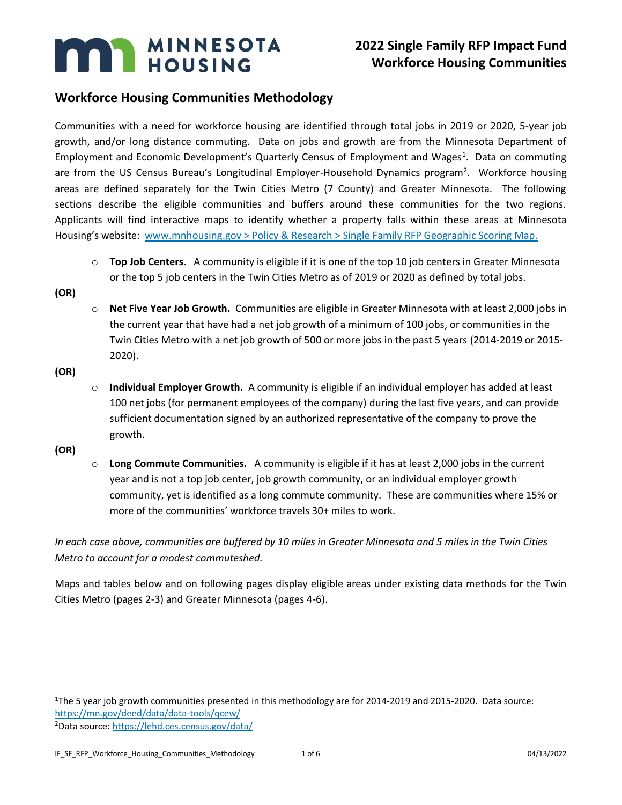# **MARY MINNESOTA**

## **2022 Single Family RFP Impact Fund Workforce Housing Communities**

### **Workforce Housing Communities Methodology**

Communities with a need for workforce housing are identified through total jobs in 2019 or 2020, 5-year job growth, and/or long distance commuting. Data on jobs and growth are from the Minnesota Department of Employment and Economic Development's Quarterly Census of Employment and Wages<sup>1</sup>. Data on commuting are from the US Census Bureau's Longitudinal Employer-Household Dynamics program<sup>2</sup>. Workforce housing areas are defined separately for the Twin Cities Metro (7 County) and Greater Minnesota. The following sections describe the eligible communities and buffers around these communities for the two regions. Applicants will find interactive maps to identify whether a property falls within these areas at Minnesota Housing's website: [www.mnhousing.gov > Policy & Research > Single Family RFP Geographic Scoring Map.](https://www.mnhousing.gov/sites/Satellite?c=Page&cid=1520549955388&pagename=External%2FPage%2FEXTStandardLayout)

o **Top Job Centers**. A community is eligible if it is one of the top 10 job centers in Greater Minnesota or the top 5 job centers in the Twin Cities Metro as of 2019 or 2020 as defined by total jobs.

**(OR)** 

o **Net Five Year Job Growth.** Communities are eligible in Greater Minnesota with at least 2,000 jobs in the current year that have had a net job growth of a minimum of 100 jobs, or communities in the Twin Cities Metro with a net job growth of 500 or more jobs in the past 5 years (2014-2019 or 2015- 2020).

**(OR)**

o **Individual Employer Growth.** A community is eligible if an individual employer has added at least 100 net jobs (for permanent employees of the company) during the last five years, and can provide sufficient documentation signed by an authorized representative of the company to prove the growth.

**(OR)**

o **Long Commute Communities.** A community is eligible if it has at least 2,000 jobs in the current year and is not a top job center, job growth community, or an individual employer growth community, yet is identified as a long commute community. These are communities where 15% or more of the communities' workforce travels 30+ miles to work.

*In each case above, communities are buffered by 10 miles in Greater Minnesota and 5 miles in the Twin Cities Metro to account for a modest commuteshed.*

Maps and tables below and on following pages display eligible areas under existing data methods for the Twin Cities Metro (pages 2-3) and Greater Minnesota (pages 4-6).

<sup>1</sup>The 5 year job growth communities presented in this methodology are for 2014-2019 and 2015-2020. Data source: <https://mn.gov/deed/data/data-tools/qcew/>

<sup>2</sup>Data source[: https://lehd.ces.census.gov/data/](https://lehd.ces.census.gov/data/)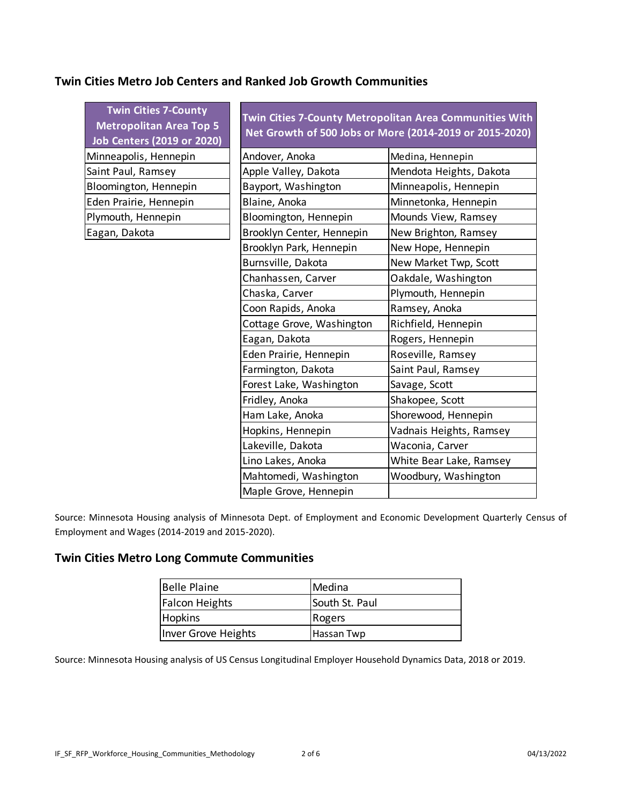#### **Twin Cities Metro Job Centers and Ranked Job Growth Communities**

| <b>Twin Cities 7-County</b><br><b>Metropolitan Area Top 5</b><br><b>Job Centers (2019 or 2020)</b> | Twin Cities 7-County Metropolitan Area Communities With<br>Net Growth of 500 Jobs or More (2014-2019 or 2015-2020) |                         |  |  |
|----------------------------------------------------------------------------------------------------|--------------------------------------------------------------------------------------------------------------------|-------------------------|--|--|
| Minneapolis, Hennepin                                                                              | Andover, Anoka<br>Medina, Hennepin                                                                                 |                         |  |  |
| Saint Paul, Ramsey                                                                                 | Apple Valley, Dakota<br>Mendota Heights, Dakota                                                                    |                         |  |  |
| Bloomington, Hennepin                                                                              | Bayport, Washington                                                                                                | Minneapolis, Hennepin   |  |  |
| Eden Prairie, Hennepin                                                                             | Blaine, Anoka                                                                                                      | Minnetonka, Hennepin    |  |  |
| Plymouth, Hennepin                                                                                 | Bloomington, Hennepin                                                                                              | Mounds View, Ramsey     |  |  |
| Eagan, Dakota                                                                                      | Brooklyn Center, Hennepin                                                                                          | New Brighton, Ramsey    |  |  |
|                                                                                                    | Brooklyn Park, Hennepin                                                                                            | New Hope, Hennepin      |  |  |
|                                                                                                    | Burnsville, Dakota                                                                                                 | New Market Twp, Scott   |  |  |
|                                                                                                    | Chanhassen, Carver                                                                                                 | Oakdale, Washington     |  |  |
|                                                                                                    | Chaska, Carver                                                                                                     | Plymouth, Hennepin      |  |  |
|                                                                                                    | Coon Rapids, Anoka                                                                                                 | Ramsey, Anoka           |  |  |
|                                                                                                    | Cottage Grove, Washington                                                                                          | Richfield, Hennepin     |  |  |
|                                                                                                    | Eagan, Dakota                                                                                                      | Rogers, Hennepin        |  |  |
|                                                                                                    | Eden Prairie, Hennepin                                                                                             | Roseville, Ramsey       |  |  |
|                                                                                                    | Farmington, Dakota<br>Saint Paul, Ramsey                                                                           |                         |  |  |
|                                                                                                    | Forest Lake, Washington                                                                                            | Savage, Scott           |  |  |
|                                                                                                    | Fridley, Anoka                                                                                                     | Shakopee, Scott         |  |  |
|                                                                                                    | Ham Lake, Anoka                                                                                                    | Shorewood, Hennepin     |  |  |
|                                                                                                    | Hopkins, Hennepin                                                                                                  | Vadnais Heights, Ramsey |  |  |
|                                                                                                    | Lakeville, Dakota                                                                                                  | Waconia, Carver         |  |  |
|                                                                                                    | Lino Lakes, Anoka                                                                                                  | White Bear Lake, Ramsey |  |  |
|                                                                                                    | Mahtomedi, Washington                                                                                              | Woodbury, Washington    |  |  |
|                                                                                                    | Maple Grove, Hennepin                                                                                              |                         |  |  |

Source: Minnesota Housing analysis of Minnesota Dept. of Employment and Economic Development Quarterly Census of Employment and Wages (2014-2019 and 2015-2020).

#### **Twin Cities Metro Long Commute Communities**

| Belle Plaine          | lMedina        |
|-----------------------|----------------|
| <b>Falcon Heights</b> | South St. Paul |
| <b>Hopkins</b>        | Rogers         |
| Inver Grove Heights   | Hassan Twp     |

Source: Minnesota Housing analysis of US Census Longitudinal Employer Household Dynamics Data, 2018 or 2019.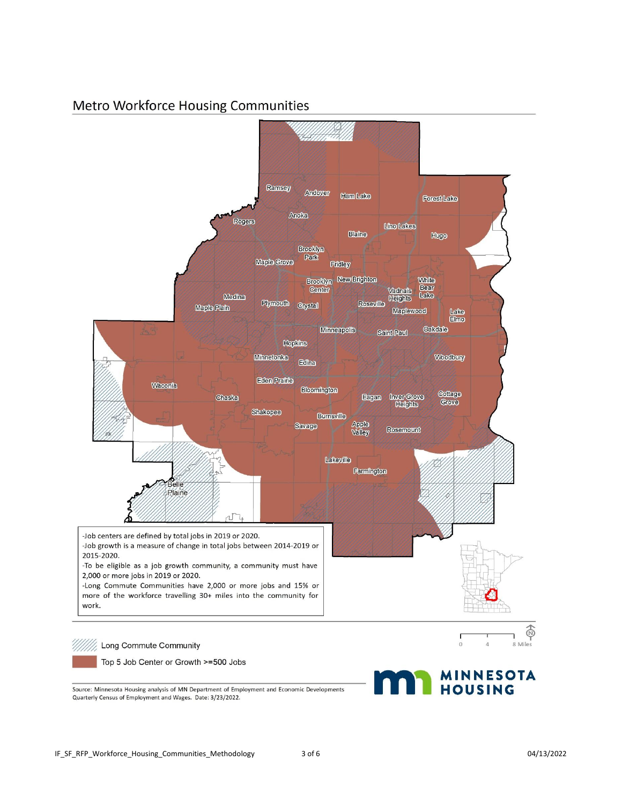## Metro Workforce Housing Communities



Source: Minnesota Housing analysis of MN Department of Employment and Economic Developments Quarterly Census of Employment and Wages. Date: 3/23/2022.

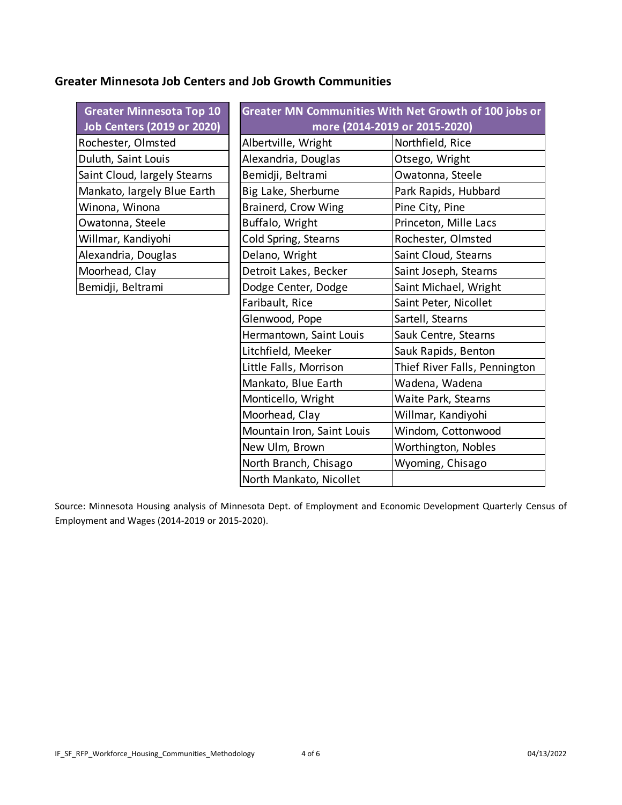#### **Greater Minnesota Job Centers and Job Growth Communities**

| <b>Greater Minnesota Top 10</b>   | Greater MN Communities With Net Growth of 100 jobs or |                               |  |  |
|-----------------------------------|-------------------------------------------------------|-------------------------------|--|--|
| <b>Job Centers (2019 or 2020)</b> | more (2014-2019 or 2015-2020)                         |                               |  |  |
| Rochester, Olmsted                | Albertville, Wright                                   | Northfield, Rice              |  |  |
| Duluth, Saint Louis               | Alexandria, Douglas                                   | Otsego, Wright                |  |  |
| Saint Cloud, largely Stearns      | Bemidji, Beltrami<br>Owatonna, Steele                 |                               |  |  |
| Mankato, largely Blue Earth       | Big Lake, Sherburne<br>Park Rapids, Hubbard           |                               |  |  |
| Winona, Winona                    | Pine City, Pine<br>Brainerd, Crow Wing                |                               |  |  |
| Owatonna, Steele                  | Buffalo, Wright<br>Princeton, Mille Lacs              |                               |  |  |
| Willmar, Kandiyohi                | Cold Spring, Stearns                                  | Rochester, Olmsted            |  |  |
| Alexandria, Douglas               | Delano, Wright                                        | Saint Cloud, Stearns          |  |  |
| Moorhead, Clay                    | Detroit Lakes, Becker                                 | Saint Joseph, Stearns         |  |  |
| Bemidji, Beltrami                 | Dodge Center, Dodge                                   | Saint Michael, Wright         |  |  |
|                                   | Faribault, Rice                                       | Saint Peter, Nicollet         |  |  |
|                                   | Glenwood, Pope                                        | Sartell, Stearns              |  |  |
|                                   | Hermantown, Saint Louis                               | Sauk Centre, Stearns          |  |  |
|                                   | Litchfield, Meeker                                    | Sauk Rapids, Benton           |  |  |
|                                   | Little Falls, Morrison                                | Thief River Falls, Pennington |  |  |
|                                   | Mankato, Blue Earth                                   | Wadena, Wadena                |  |  |
|                                   | Monticello, Wright                                    | Waite Park, Stearns           |  |  |
|                                   | Moorhead, Clay                                        | Willmar, Kandiyohi            |  |  |
|                                   | Mountain Iron, Saint Louis                            | Windom, Cottonwood            |  |  |
|                                   | New Ulm, Brown                                        | Worthington, Nobles           |  |  |
|                                   | North Branch, Chisago                                 | Wyoming, Chisago              |  |  |
|                                   | North Mankato, Nicollet                               |                               |  |  |

Source: Minnesota Housing analysis of Minnesota Dept. of Employment and Economic Development Quarterly Census of Employment and Wages (2014-2019 or 2015-2020).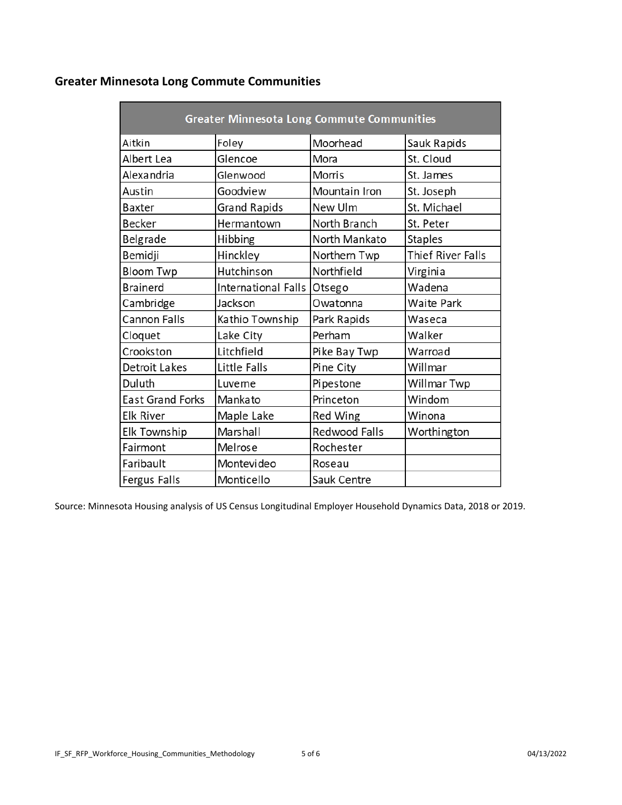## **Greater Minnesota Long Commute Communities**

| <b>Greater Minnesota Long Commute Communities</b> |                     |               |                   |  |  |  |
|---------------------------------------------------|---------------------|---------------|-------------------|--|--|--|
| Aitkin                                            | Foley               | Moorhead      | Sauk Rapids       |  |  |  |
| Albert Lea                                        | Glencoe             | Mora          | St. Cloud         |  |  |  |
| Alexandria                                        | Glenwood            | Morris        | St. James         |  |  |  |
| Austin                                            | Goodview            | Mountain Iron | St. Joseph        |  |  |  |
| Baxter                                            | <b>Grand Rapids</b> | New Ulm       | St. Michael       |  |  |  |
| <b>Becker</b>                                     | Hermantown          | North Branch  | St. Peter         |  |  |  |
| Belgrade                                          | Hibbing             | North Mankato | <b>Staples</b>    |  |  |  |
| Bemidji                                           | Hinckley            | Northern Twp  | Thief River Falls |  |  |  |
| <b>Bloom Twp</b>                                  | Hutchinson          | Northfield    | Virginia          |  |  |  |
| <b>Brainerd</b>                                   | International Falls | Otsego        | Wadena            |  |  |  |
| Cambridge                                         | Jackson             | Owatonna      | <b>Waite Park</b> |  |  |  |
| <b>Cannon Falls</b>                               | Kathio Township     | Park Rapids   | Waseca            |  |  |  |
| Cloquet                                           | Lake City           | Perham        | Walker            |  |  |  |
| Crookston                                         | Litchfield          | Pike Bay Twp  | Warroad           |  |  |  |
| Detroit Lakes                                     | Little Falls        | Pine City     | Willmar           |  |  |  |
| Duluth                                            | Luverne             | Pipestone     | Willmar Twp       |  |  |  |
| <b>East Grand Forks</b>                           | Mankato             | Princeton     | Windom            |  |  |  |
| <b>Elk River</b>                                  | Maple Lake          | Red Wing      | Winona            |  |  |  |
| Elk Township                                      | Marshall            | Redwood Falls | Worthington       |  |  |  |
| Fairmont                                          | Melrose             | Rochester     |                   |  |  |  |
| Faribault                                         | Montevideo          | Roseau        |                   |  |  |  |
| Fergus Falls                                      | Monticello          | Sauk Centre   |                   |  |  |  |

Source: Minnesota Housing analysis of US Census Longitudinal Employer Household Dynamics Data, 2018 or 2019.